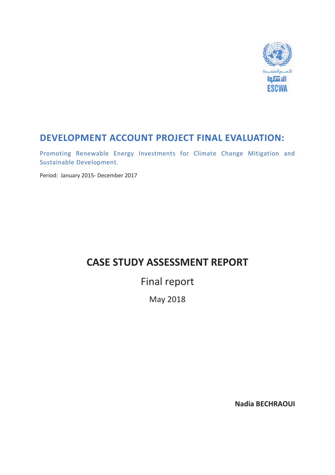

## **DEVELOPMENT ACCOUNT PROJECT FINAL EVALUATION:**

Promoting Renewable Energy Investments for Climate Change Mitigation and Sustainable Development.

Period: January 2015- December 2017

## **CASE STUDY ASSESSMENT REPORT**

# Final report

May 2018

**Nadia BECHRAOUI**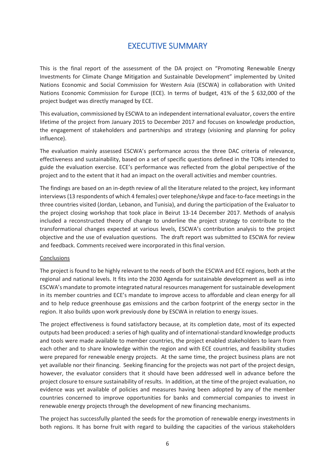### EXECUTIVE SUMMARY

This is the final report of the assessment of the DA project on "Promoting Renewable Energy Investments for Climate Change Mitigation and Sustainable Development" implemented by United Nations Economic and Social Commission for Western Asia (ESCWA) in collaboration with United Nations Economic Commission for Europe (ECE). In terms of budget, 41% of the \$632,000 of the project budget was directly managed by ECE.

This evaluation, commissioned by ESCWA to an independent international evaluator, covers the entire lifetime of the project from January 2015 to December 2017 and focuses on knowledge production, the engagement of stakeholders and partnerships and strategy (visioning and planning for policy influence).

The evaluation mainly assessed ESCWA's performance across the three DAC criteria of relevance, effectiveness and sustainability, based on a set of specific questions defined in the TORs intended to guide the evaluation exercise. ECE's performance was reflected from the global perspective of the project and to the extent that it had an impact on the overall activities and member countries.

The findings are based on an in-depth review of all the literature related to the project, key informant interviews (13 respondents of which 4 females) over telephone/skype and face-to-face meetings in the three countries visited (Jordan, Lebanon, and Tunisia), and during the participation of the Evaluator to the project closing workshop that took place in Beirut 13-14 December 2017. Methods of analysis included a reconstructed theory of change to underline the project strategy to contribute to the transformational changes expected at various levels, ESCWA's contribution analysis to the project objective and the use of evaluation questions. The draft report was submitted to ESCWA for review and feedback. Comments received were incorporated in this final version.

### Conclusions

The project is found to be highly relevant to the needs of both the ESCWA and ECE regions, both at the regional and national levels. It fits into the 2030 Agenda for sustainable development as well as into ESCWA's mandate to promote integrated natural resources management for sustainable development in its member countries and ECE's mandate to improve access to affordable and clean energy for all and to help reduce greenhouse gas emissions and the carbon footprint of the energy sector in the region. It also builds upon work previously done by ESCWA in relation to energy issues.

The project effectiveness is found satisfactory because, at its completion date, most of its expected outputs had been produced: a series of high quality and of international-standard knowledge products and tools were made available to member countries, the project enabled stakeholders to learn from each other and to share knowledge within the region and with ECE countries, and feasibility studies were prepared for renewable energy projects. At the same time, the project business plans are not yet available nor their financing. Seeking financing for the projects was not part of the project design, however, the evaluator considers that it should have been addressed well in advance before the project closure to ensure sustainability of results. In addition, at the time of the project evaluation, no evidence was yet available of policies and measures having been adopted by any of the member countries concerned to improve opportunities for banks and commercial companies to invest in renewable energy projects through the development of new financing mechanisms.

The project has successfully planted the seeds for the promotion of renewable energy investments in both regions. It has borne fruit with regard to building the capacities of the various stakeholders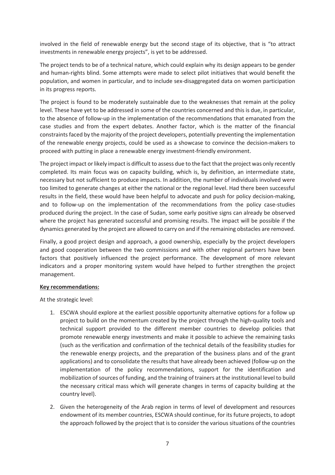involved in the field of renewable energy but the second stage of its objective, that is "to attract investments in renewable energy projects", is yet to be addressed.

The project tends to be of a technical nature, which could explain why its design appears to be gender and human-rights blind. Some attempts were made to select pilot initiatives that would benefit the population, and women in particular, and to include sex-disaggregated data on women participation in its progress reports.

The project is found to be moderately sustainable due to the weaknesses that remain at the policy level. These have yet to be addressed in some of the countries concerned and this is due, in particular, to the absence of follow-up in the implementation of the recommendations that emanated from the case studies and from the expert debates. Another factor, which is the matter of the financial constraints faced by the majority of the project developers, potentially preventing the implementation of the renewable energy projects, could be used as a showcase to convince the decision-makers to proceed with putting in place a renewable energy investment-friendly environment.

The project impact or likely impact is difficult to assess due to the fact that the project was only recently completed. Its main focus was on capacity building, which is, by definition, an intermediate state, necessary but not sufficient to produce impacts. In addition, the number of individuals involved were too limited to generate changes at either the national or the regional level. Had there been successful results in the field, these would have been helpful to advocate and push for policy decision-making, and to follow-up on the implementation of the recommendations from the policy case-studies produced during the project. In the case of Sudan, some early positive signs can already be observed where the project has generated successful and promising results. The impact will be possible if the dynamics generated by the project are allowed to carry on and if the remaining obstacles are removed.

Finally, a good project design and approach, a good ownership, especially by the project developers and good cooperation between the two commissions and with other regional partners have been factors that positively influenced the project performance. The development of more relevant indicators and a proper monitoring system would have helped to further strengthen the project management.

### **Key recommendations:**

At the strategic level:

- 1. ESCWA should explore at the earliest possible opportunity alternative options for a follow up project to build on the momentum created by the project through the high-quality tools and technical support provided to the different member countries to develop policies that promote renewable energy investments and make it possible to achieve the remaining tasks (such as the verification and confirmation of the technical details of the feasibility studies for the renewable energy projects, and the preparation of the business plans and of the grant applications) and to consolidate the results that have already been achieved (follow-up on the implementation of the policy recommendations, support for the identification and mobilization of sources of funding, and the training of trainers at the institutional level to build the necessary critical mass which will generate changes in terms of capacity building at the country level).
- 2. Given the heterogeneity of the Arab region in terms of level of development and resources endowment of its member countries, ESCWA should continue, for its future projects, to adopt the approach followed by the project that is to consider the various situations of the countries